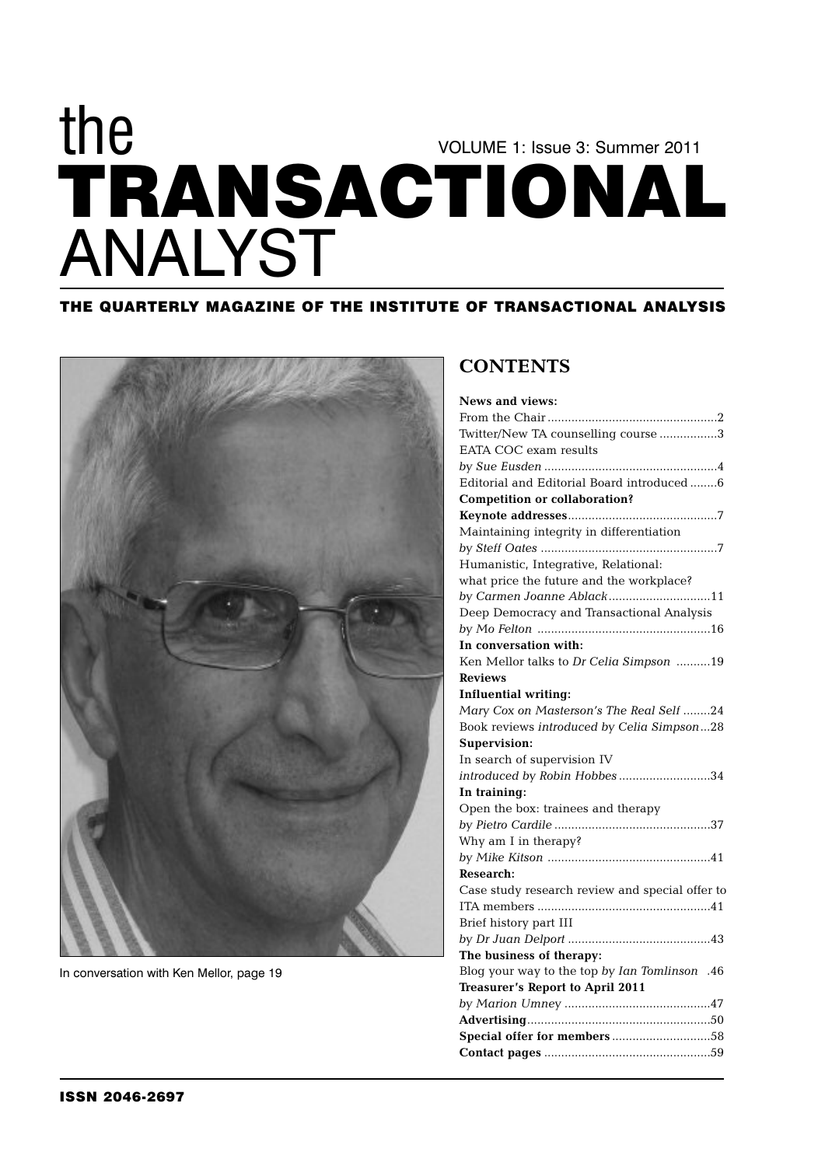# **TRANSACTIONAL** VOLUME 1: Issue 3: Summer 2011 the ANALYST

### **THE QUARTERLY MAGAZINE OF THE INSTITUTE OF TRANSACTIONAL ANALYSIS**



In conversation with Ken Mellor, page 19

## **CONTENTS**

| <b>News and views:</b>                          |
|-------------------------------------------------|
|                                                 |
| Twitter/New TA counselling course 3             |
| EATA COC exam results                           |
|                                                 |
| Editorial and Editorial Board introduced6       |
| <b>Competition or collaboration?</b>            |
|                                                 |
| Maintaining integrity in differentiation        |
|                                                 |
| Humanistic, Integrative, Relational:            |
| what price the future and the workplace?        |
| by Carmen Joanne Ablack11                       |
| Deep Democracy and Transactional Analysis       |
|                                                 |
| In conversation with:                           |
| Ken Mellor talks to Dr Celia Simpson 19         |
| <b>Reviews</b>                                  |
| <b>Influential writing:</b>                     |
| Mary Cox on Masterson's The Real Self 24        |
| Book reviews introduced by Celia Simpson28      |
| Supervision:                                    |
| In search of supervision IV                     |
| introduced by Robin Hobbes34                    |
| In training:                                    |
| Open the box: trainees and therapy              |
|                                                 |
| Why am I in therapy?                            |
|                                                 |
| <b>Research:</b>                                |
| Case study research review and special offer to |
|                                                 |
| Brief history part III                          |
|                                                 |
| The business of therapy:                        |
| Blog your way to the top by Ian Tomlinson .46   |
| <b>Treasurer's Report to April 2011</b>         |
|                                                 |
|                                                 |
|                                                 |
|                                                 |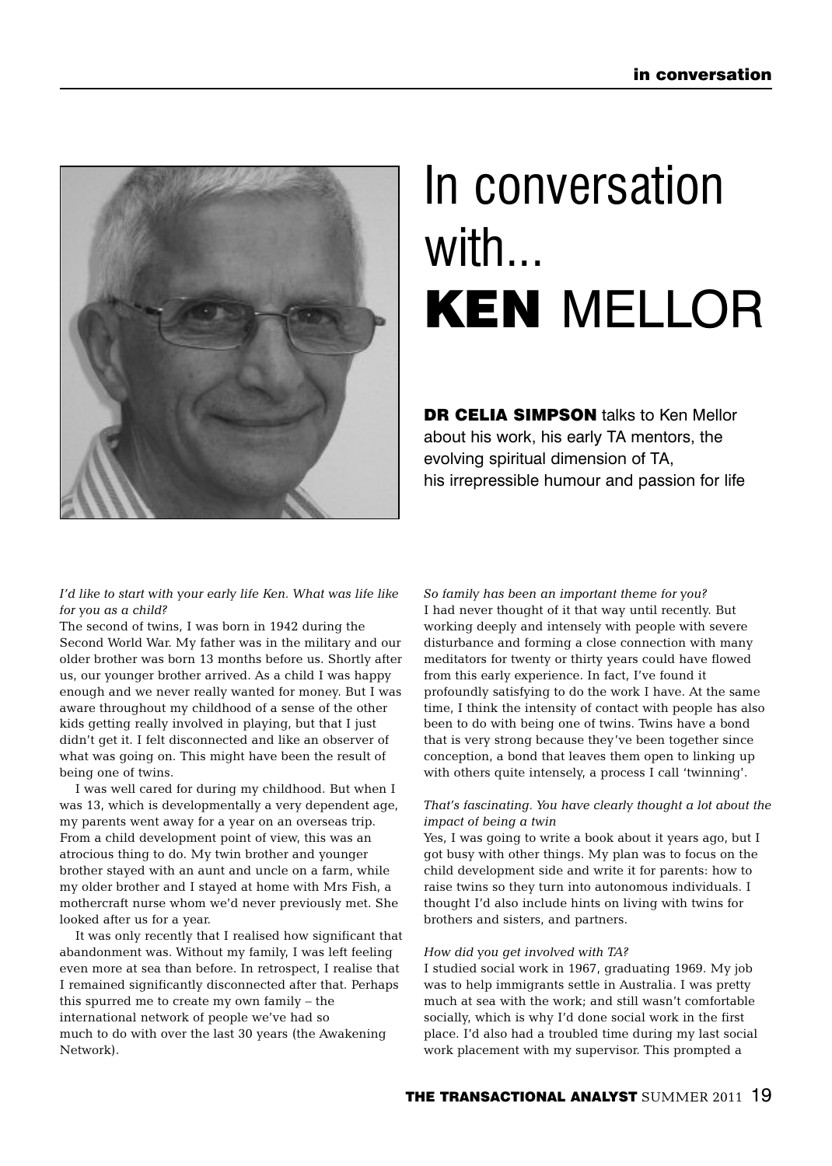

# In conversation with... **KEN** MELLOR

**DR CELIA SIMPSON** talks to Ken Mellor about his work, his early TA mentors, the evolving spiritual dimension of TA, his irrepressible humour and passion for life

*I'd like to start with your early life Ken. What was life like for you as a child?* 

The second of twins, I was born in 1942 during the Second World War. My father was in the military and our older brother was born 13 months before us. Shortly after us, our younger brother arrived. As a child I was happy enough and we never really wanted for money. But I was aware throughout my childhood of a sense of the other kids getting really involved in playing, but that I just didn't get it. I felt disconnected and like an observer of what was going on. This might have been the result of being one of twins.

I was well cared for during my childhood. But when I was 13, which is developmentally a very dependent age, my parents went away for a year on an overseas trip. From a child development point of view, this was an atrocious thing to do. My twin brother and younger brother stayed with an aunt and uncle on a farm, while my older brother and I stayed at home with Mrs Fish, a mothercraft nurse whom we'd never previously met. She looked after us for a year.

It was only recently that I realised how significant that abandonment was. Without my family, I was left feeling even more at sea than before. In retrospect, I realise that I remained significantly disconnected after that. Perhaps this spurred me to create my own family – the international network of people we've had so much to do with over the last 30 years (the Awakening Network).

*So family has been an important theme for you?* I had never thought of it that way until recently. But working deeply and intensely with people with severe disturbance and forming a close connection with many meditators for twenty or thirty years could have flowed from this early experience. In fact, I've found it profoundly satisfying to do the work I have. At the same time, I think the intensity of contact with people has also been to do with being one of twins. Twins have a bond that is very strong because they've been together since conception, a bond that leaves them open to linking up with others quite intensely, a process I call 'twinning'.

#### *That's fascinating. You have clearly thought a lot about the impact of being a twin*

Yes, I was going to write a book about it years ago, but I got busy with other things. My plan was to focus on the child development side and write it for parents: how to raise twins so they turn into autonomous individuals. I thought I'd also include hints on living with twins for brothers and sisters, and partners.

#### *How did you get involved with TA?*

I studied social work in 1967, graduating 1969. My job was to help immigrants settle in Australia. I was pretty much at sea with the work; and still wasn't comfortable socially, which is why I'd done social work in the first place. I'd also had a troubled time during my last social work placement with my supervisor. This prompted a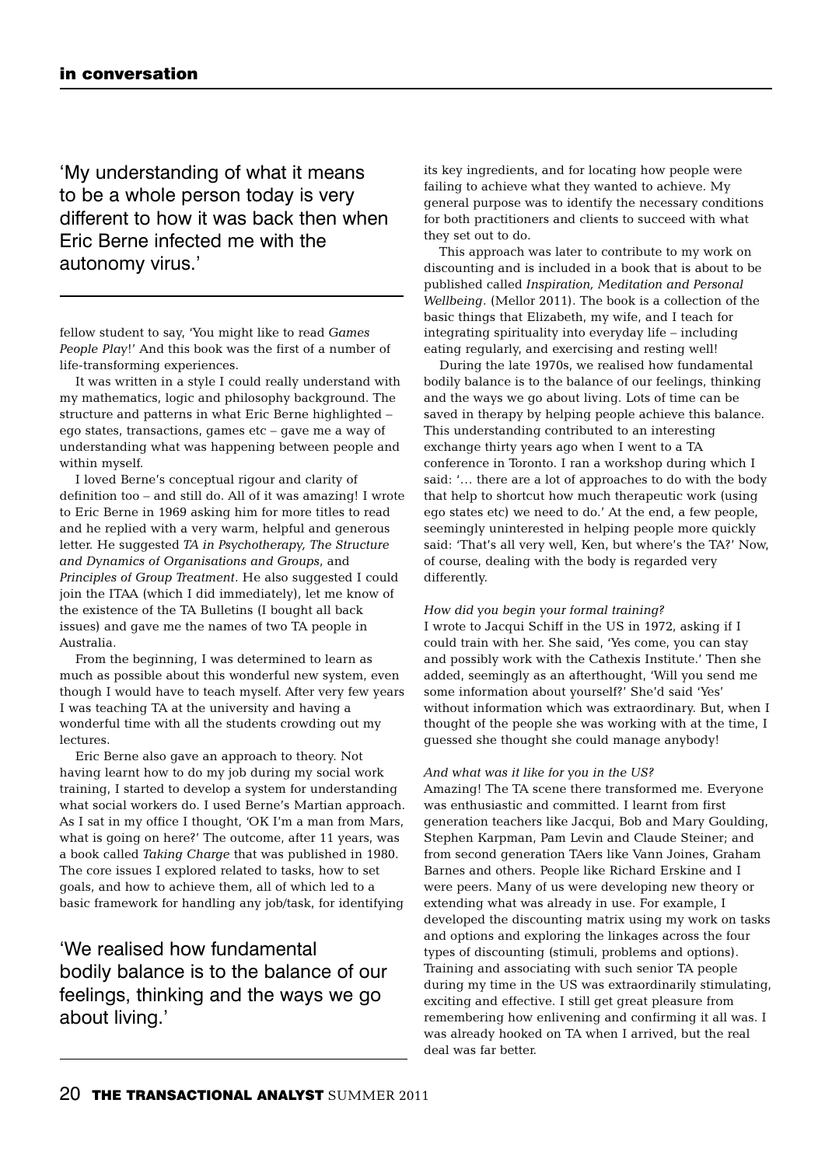'My understanding of what it means to be a whole person today is very different to how it was back then when Eric Berne infected me with the autonomy virus.'

fellow student to say, 'You might like to read *Games People Play*!' And this book was the first of a number of life-transforming experiences.

It was written in a style I could really understand with my mathematics, logic and philosophy background. The structure and patterns in what Eric Berne highlighted – ego states, transactions, games etc – gave me a way of understanding what was happening between people and within myself.

I loved Berne's conceptual rigour and clarity of definition too – and still do. All of it was amazing! I wrote to Eric Berne in 1969 asking him for more titles to read and he replied with a very warm, helpful and generous letter. He suggested *TA in Psychotherapy, The Structure and Dynamics of Organisations and Groups*, and *Principles of Group Treatment*. He also suggested I could join the ITAA (which I did immediately), let me know of the existence of the TA Bulletins (I bought all back issues) and gave me the names of two TA people in Australia.

From the beginning, I was determined to learn as much as possible about this wonderful new system, even though I would have to teach myself. After very few years I was teaching TA at the university and having a wonderful time with all the students crowding out my lectures.

Eric Berne also gave an approach to theory. Not having learnt how to do my job during my social work training, I started to develop a system for understanding what social workers do. I used Berne's Martian approach. As I sat in my office I thought, 'OK I'm a man from Mars, what is going on here?' The outcome, after 11 years, was a book called *Taking Charge* that was published in 1980. The core issues I explored related to tasks, how to set goals, and how to achieve them, all of which led to a basic framework for handling any job/task, for identifying

'We realised how fundamental bodily balance is to the balance of our feelings, thinking and the ways we go about living.'

its key ingredients, and for locating how people were failing to achieve what they wanted to achieve. My general purpose was to identify the necessary conditions for both practitioners and clients to succeed with what they set out to do.

This approach was later to contribute to my work on discounting and is included in a book that is about to be published called *Inspiration, Meditation and Personal Wellbeing*. (Mellor 2011). The book is a collection of the basic things that Elizabeth, my wife, and I teach for integrating spirituality into everyday life – including eating regularly, and exercising and resting well!

During the late 1970s, we realised how fundamental bodily balance is to the balance of our feelings, thinking and the ways we go about living. Lots of time can be saved in therapy by helping people achieve this balance. This understanding contributed to an interesting exchange thirty years ago when I went to a TA conference in Toronto. I ran a workshop during which I said: '… there are a lot of approaches to do with the body that help to shortcut how much therapeutic work (using ego states etc) we need to do.' At the end, a few people, seemingly uninterested in helping people more quickly said: 'That's all very well, Ken, but where's the TA?' Now, of course, dealing with the body is regarded very differently.

#### *How did you begin your formal training?*

I wrote to Jacqui Schiff in the US in 1972, asking if I could train with her. She said, 'Yes come, you can stay and possibly work with the Cathexis Institute.' Then she added, seemingly as an afterthought, 'Will you send me some information about yourself?' She'd said 'Yes' without information which was extraordinary. But, when I thought of the people she was working with at the time, I guessed she thought she could manage anybody!

#### *And what was it like for you in the US?*

Amazing! The TA scene there transformed me. Everyone was enthusiastic and committed. I learnt from first generation teachers like Jacqui, Bob and Mary Goulding, Stephen Karpman, Pam Levin and Claude Steiner; and from second generation TAers like Vann Joines, Graham Barnes and others. People like Richard Erskine and I were peers. Many of us were developing new theory or extending what was already in use. For example, I developed the discounting matrix using my work on tasks and options and exploring the linkages across the four types of discounting (stimuli, problems and options). Training and associating with such senior TA people during my time in the US was extraordinarily stimulating, exciting and effective. I still get great pleasure from remembering how enlivening and confirming it all was. I was already hooked on TA when I arrived, but the real deal was far better.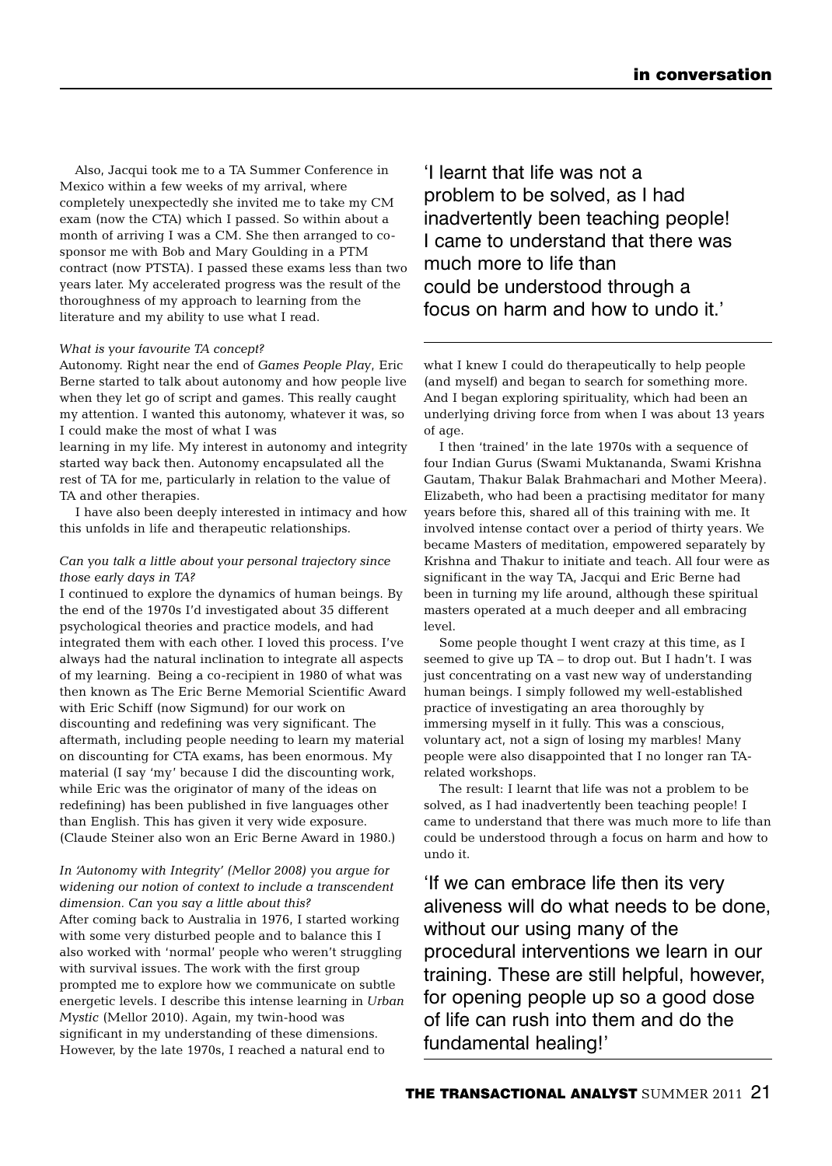Also, Jacqui took me to a TA Summer Conference in Mexico within a few weeks of my arrival, where completely unexpectedly she invited me to take my CM exam (now the CTA) which I passed. So within about a month of arriving I was a CM. She then arranged to cosponsor me with Bob and Mary Goulding in a PTM contract (now PTSTA). I passed these exams less than two years later. My accelerated progress was the result of the thoroughness of my approach to learning from the literature and my ability to use what I read.

#### *What is your favourite TA concept?*

Autonomy. Right near the end of *Games People Play*, Eric Berne started to talk about autonomy and how people live when they let go of script and games. This really caught my attention. I wanted this autonomy, whatever it was, so I could make the most of what I was

learning in my life. My interest in autonomy and integrity started way back then. Autonomy encapsulated all the rest of TA for me, particularly in relation to the value of TA and other therapies.

I have also been deeply interested in intimacy and how this unfolds in life and therapeutic relationships.

#### *Can you talk a little about your personal trajectory since those early days in TA?*

I continued to explore the dynamics of human beings. By the end of the 1970s I'd investigated about 35 different psychological theories and practice models, and had integrated them with each other. I loved this process. I've always had the natural inclination to integrate all aspects of my learning. Being a co-recipient in 1980 of what was then known as The Eric Berne Memorial Scientific Award with Eric Schiff (now Sigmund) for our work on discounting and redefining was very significant. The aftermath, including people needing to learn my material on discounting for CTA exams, has been enormous. My material (I say 'my' because I did the discounting work, while Eric was the originator of many of the ideas on redefining) has been published in five languages other than English. This has given it very wide exposure. (Claude Steiner also won an Eric Berne Award in 1980.)

*In 'Autonomy with Integrity' (Mellor 2008) you argue for widening our notion of context to include a transcendent dimension. Can you say a little about this?*  After coming back to Australia in 1976, I started working with some very disturbed people and to balance this I also worked with 'normal' people who weren't struggling with survival issues. The work with the first group prompted me to explore how we communicate on subtle energetic levels. I describe this intense learning in *Urban Mystic* (Mellor 2010). Again, my twin-hood was significant in my understanding of these dimensions. However, by the late 1970s, I reached a natural end to

'I learnt that life was not a problem to be solved, as I had inadvertently been teaching people! I came to understand that there was much more to life than could be understood through a focus on harm and how to undo it.'

what I knew I could do therapeutically to help people (and myself) and began to search for something more. And I began exploring spirituality, which had been an underlying driving force from when I was about 13 years of age.

I then 'trained' in the late 1970s with a sequence of four Indian Gurus (Swami Muktananda, Swami Krishna Gautam, Thakur Balak Brahmachari and Mother Meera). Elizabeth, who had been a practising meditator for many years before this, shared all of this training with me. It involved intense contact over a period of thirty years. We became Masters of meditation, empowered separately by Krishna and Thakur to initiate and teach. All four were as significant in the way TA, Jacqui and Eric Berne had been in turning my life around, although these spiritual masters operated at a much deeper and all embracing level.

Some people thought I went crazy at this time, as I seemed to give up TA – to drop out. But I hadn't. I was just concentrating on a vast new way of understanding human beings. I simply followed my well-established practice of investigating an area thoroughly by immersing myself in it fully. This was a conscious, voluntary act, not a sign of losing my marbles! Many people were also disappointed that I no longer ran TArelated workshops.

The result: I learnt that life was not a problem to be solved, as I had inadvertently been teaching people! I came to understand that there was much more to life than could be understood through a focus on harm and how to undo it.

'If we can embrace life then its very aliveness will do what needs to be done, without our using many of the procedural interventions we learn in our training. These are still helpful, however, for opening people up so a good dose of life can rush into them and do the fundamental healing!'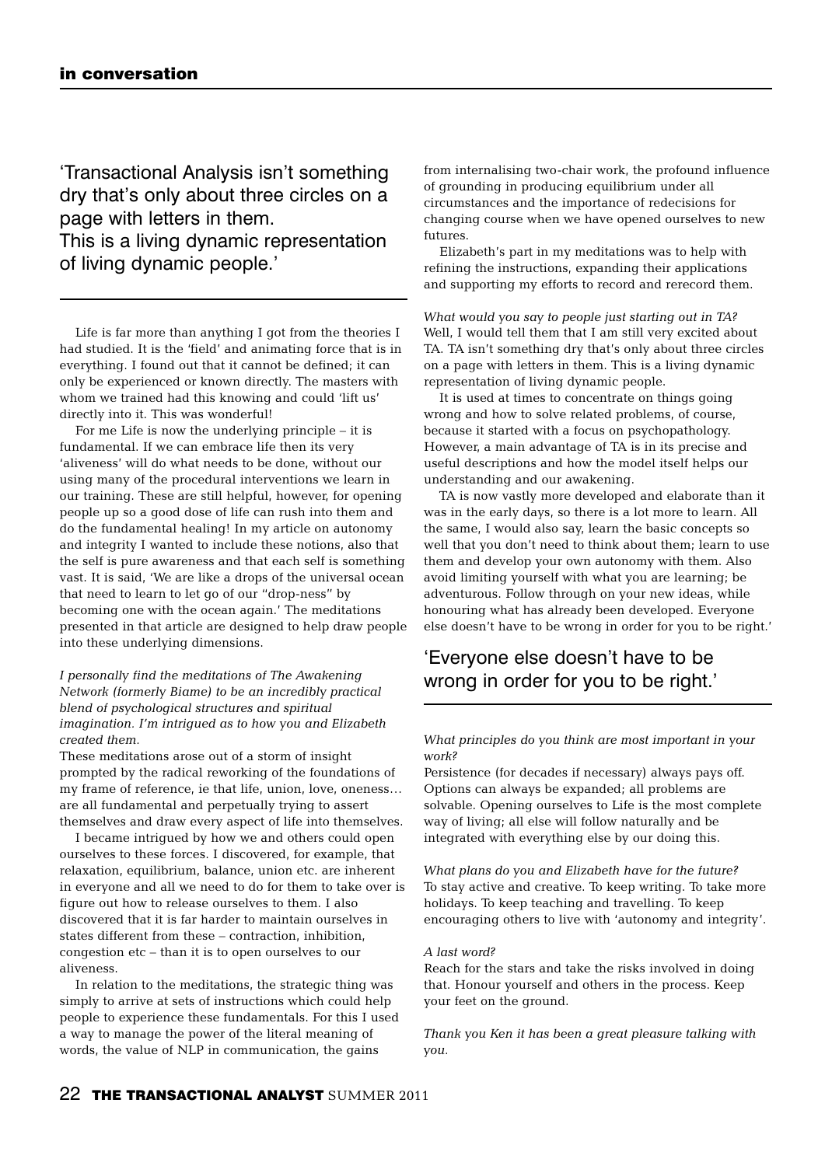'Transactional Analysis isn't something dry that's only about three circles on a page with letters in them. This is a living dynamic representation of living dynamic people.'

Life is far more than anything I got from the theories I had studied. It is the 'field' and animating force that is in everything. I found out that it cannot be defined; it can only be experienced or known directly. The masters with whom we trained had this knowing and could 'lift us' directly into it. This was wonderful!

For me Life is now the underlying principle – it is fundamental. If we can embrace life then its very 'aliveness' will do what needs to be done, without our using many of the procedural interventions we learn in our training. These are still helpful, however, for opening people up so a good dose of life can rush into them and do the fundamental healing! In my article on autonomy and integrity I wanted to include these notions, also that the self is pure awareness and that each self is something vast. It is said, 'We are like a drops of the universal ocean that need to learn to let go of our "drop-ness" by becoming one with the ocean again.' The meditations presented in that article are designed to help draw people into these underlying dimensions.

*I personally find the meditations of The Awakening Network (formerly Biame) to be an incredibly practical blend of psychological structures and spiritual imagination. I'm intrigued as to how you and Elizabeth created them.* 

These meditations arose out of a storm of insight prompted by the radical reworking of the foundations of my frame of reference, ie that life, union, love, oneness… are all fundamental and perpetually trying to assert themselves and draw every aspect of life into themselves.

I became intrigued by how we and others could open ourselves to these forces. I discovered, for example, that relaxation, equilibrium, balance, union etc. are inherent in everyone and all we need to do for them to take over is figure out how to release ourselves to them. I also discovered that it is far harder to maintain ourselves in states different from these – contraction, inhibition, congestion etc – than it is to open ourselves to our aliveness.

In relation to the meditations, the strategic thing was simply to arrive at sets of instructions which could help people to experience these fundamentals. For this I used a way to manage the power of the literal meaning of words, the value of NLP in communication, the gains

from internalising two-chair work, the profound influence of grounding in producing equilibrium under all circumstances and the importance of redecisions for changing course when we have opened ourselves to new futures.

Elizabeth's part in my meditations was to help with refining the instructions, expanding their applications and supporting my efforts to record and rerecord them.

*What would you say to people just starting out in TA?* Well, I would tell them that I am still very excited about TA. TA isn't something dry that's only about three circles on a page with letters in them. This is a living dynamic representation of living dynamic people.

It is used at times to concentrate on things going wrong and how to solve related problems, of course, because it started with a focus on psychopathology. However, a main advantage of TA is in its precise and useful descriptions and how the model itself helps our understanding and our awakening.

TA is now vastly more developed and elaborate than it was in the early days, so there is a lot more to learn. All the same, I would also say, learn the basic concepts so well that you don't need to think about them; learn to use them and develop your own autonomy with them. Also avoid limiting yourself with what you are learning; be adventurous. Follow through on your new ideas, while honouring what has already been developed. Everyone else doesn't have to be wrong in order for you to be right.'

# 'Everyone else doesn't have to be wrong in order for you to be right.'

#### *What principles do you think are most important in your work?*

Persistence (for decades if necessary) always pays off. Options can always be expanded; all problems are solvable. Opening ourselves to Life is the most complete way of living; all else will follow naturally and be integrated with everything else by our doing this.

*What plans do you and Elizabeth have for the future?* To stay active and creative. To keep writing. To take more holidays. To keep teaching and travelling. To keep encouraging others to live with 'autonomy and integrity'.

#### *A last word?*

Reach for the stars and take the risks involved in doing that. Honour yourself and others in the process. Keep your feet on the ground.

*Thank you Ken it has been a great pleasure talking with you.*